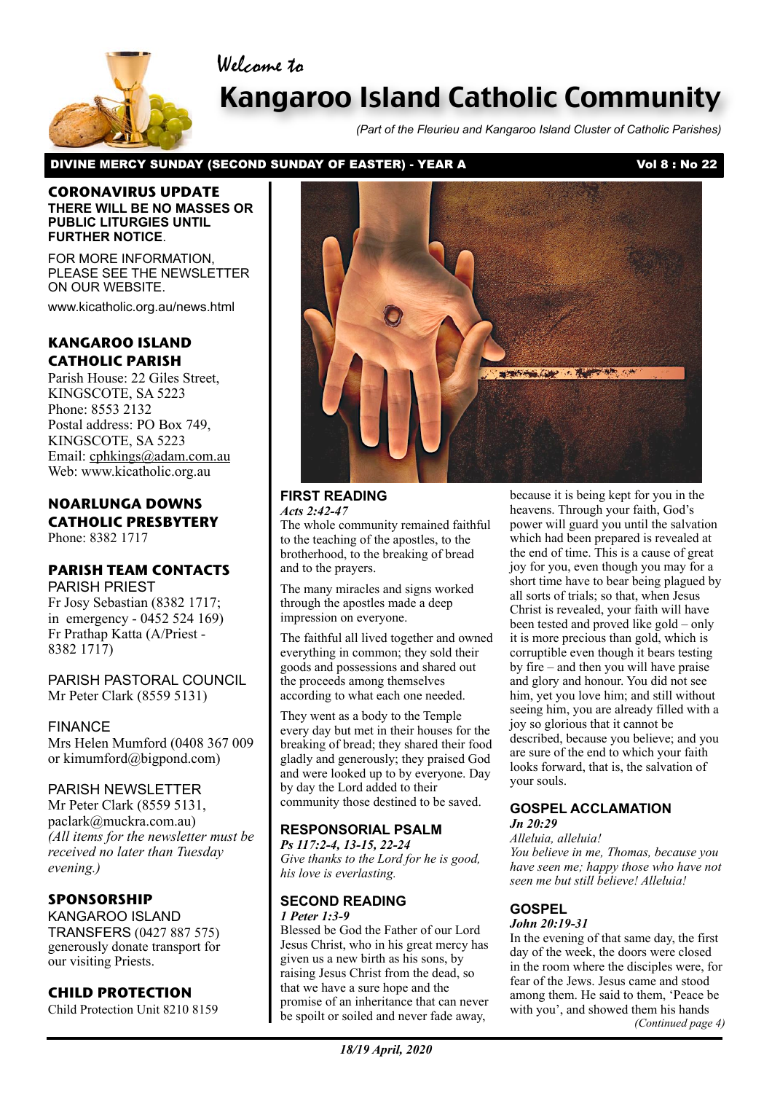Welcome to



# Kangaroo Island Catholic Community

*(Part of the Fleurieu and Kangaroo Island Cluster of Catholic Parishes)*

## DIVINE MERCY SUNDAY (SECOND SUNDAY OF EASTER) - YEAR A Vol 8 : No 22

#### **CORONAVIRUS UPDATE THERE WILL BE NO MASSES OR PUBLIC LITURGIES UNTIL FURTHER NOTICE**.

FOR MORE INFORMATION, PLEASE SEE THE NEWSLETTER ON OUR WEBSITE.

www.kicatholic.org.au/news.html

# **KANGAROO ISLAND CATHOLIC PARISH**

Parish House: 22 Giles Street, KINGSCOTE, SA 5223 Phone: 8553 2132 Postal address: PO Box 749, KINGSCOTE, SA 5223 Email: cphkings@adam.com.au Web: www.kicatholic.org.au

# **NOARLUNGA DOWNS CATHOLIC PRESBYTERY**

Phone: 8382 1717

# **PARISH TEAM CONTACTS**

PARISH PRIEST Fr Josy Sebastian (8382 1717; in emergency - 0452 524 169) Fr Prathap Katta (A/Priest - 8382 1717)

PARISH PASTORAL COUNCIL Mr Peter Clark (8559 5131)

### FINANCE

Mrs Helen Mumford (0408 367 009 or kimumford@bigpond.com)

## PARISH NEWSLETTER

Mr Peter Clark (8559 5131, paclark@muckra.com.au) *(All items for the newsletter must be received no later than Tuesday evening.)*

# **SPONSORSHIP**

KANGAROO ISLAND TRANSFERS (0427 887 575) generously donate transport for our visiting Priests.

# **CHILD PROTECTION**

Child Protection Unit 8210 8159



#### **FIRST READING** *Acts 2:42-47*

The whole community remained faithful to the teaching of the apostles, to the brotherhood, to the breaking of bread and to the prayers.

The many miracles and signs worked through the apostles made a deep impression on everyone.

The faithful all lived together and owned everything in common; they sold their goods and possessions and shared out the proceeds among themselves according to what each one needed.

They went as a body to the Temple every day but met in their houses for the breaking of bread; they shared their food gladly and generously; they praised God and were looked up to by everyone. Day by day the Lord added to their community those destined to be saved.

### **RESPONSORIAL PSALM**

*Ps 117:2-4, 13-15, 22-24 Give thanks to the Lord for he is good, his love is everlasting.*

#### **SECOND READING** *1 Peter 1:3-9*

Blessed be God the Father of our Lord Jesus Christ, who in his great mercy has given us a new birth as his sons, by raising Jesus Christ from the dead, so that we have a sure hope and the promise of an inheritance that can never be spoilt or soiled and never fade away,

because it is being kept for you in the heavens. Through your faith, God's power will guard you until the salvation which had been prepared is revealed at the end of time. This is a cause of great joy for you, even though you may for a short time have to bear being plagued by all sorts of trials; so that, when Jesus Christ is revealed, your faith will have been tested and proved like gold – only it is more precious than gold, which is corruptible even though it bears testing by fire – and then you will have praise and glory and honour. You did not see him, yet you love him; and still without seeing him, you are already filled with a joy so glorious that it cannot be described, because you believe; and you are sure of the end to which your faith looks forward, that is, the salvation of your souls.

#### **GOSPEL ACCLAMATION** *Jn 20:29*

*Alleluia, alleluia!*

*You believe in me, Thomas, because you have seen me; happy those who have not seen me but still believe! Alleluia!*

# **GOSPEL**

*John 20:19-31*

In the evening of that same day, the first day of the week, the doors were closed in the room where the disciples were, for fear of the Jews. Jesus came and stood among them. He said to them, 'Peace be with you', and showed them his hands *(Continued page 4)*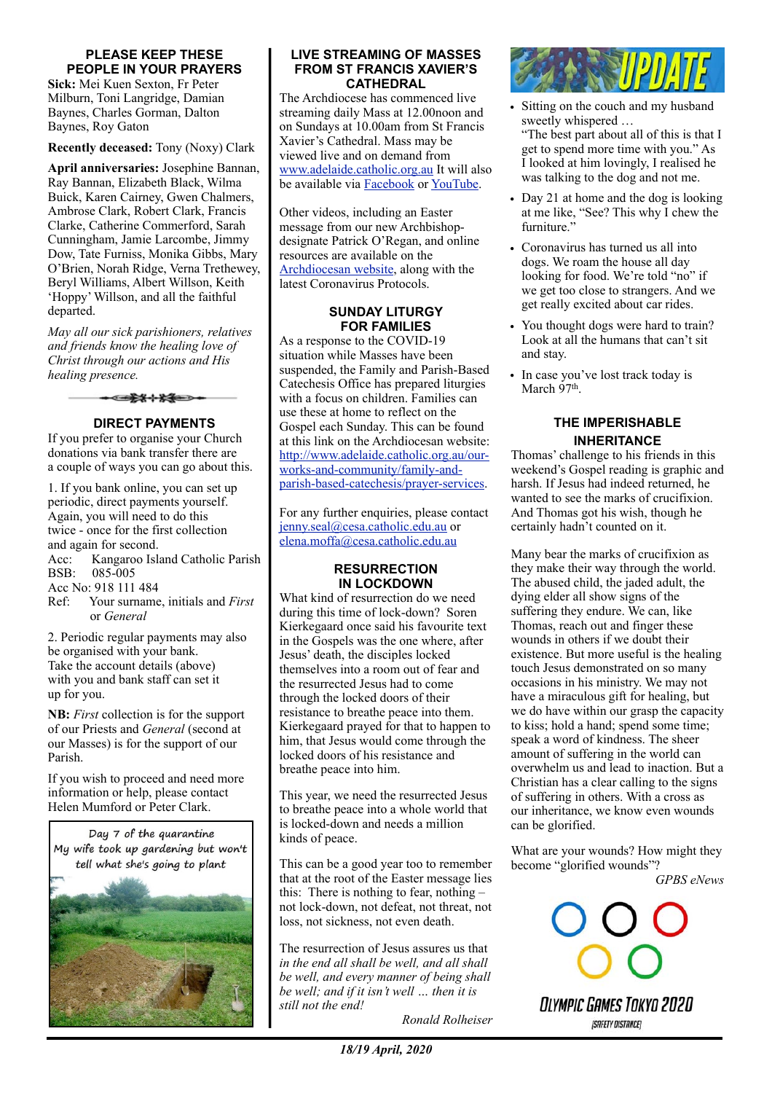#### **PLEASE KEEP THESE PEOPLE IN YOUR PRAYERS**

**Sick:** Mei Kuen Sexton, Fr Peter Milburn, Toni Langridge, Damian Baynes, Charles Gorman, Dalton Baynes, Roy Gaton

**Recently deceased:** Tony (Noxy) Clark

**April anniversaries:** Josephine Bannan, Ray Bannan, Elizabeth Black, Wilma Buick, Karen Cairney, Gwen Chalmers, Ambrose Clark, Robert Clark, Francis Clarke, Catherine Commerford, Sarah Cunningham, Jamie Larcombe, Jimmy Dow, Tate Furniss, Monika Gibbs, Mary O'Brien, Norah Ridge, Verna Trethewey, Beryl Williams, Albert Willson, Keith 'Hoppy' Willson, and all the faithful departed.

*May all our sick parishioners, relatives and friends know the healing love of Christ through our actions and His healing presence.*



#### **DIRECT PAYMENTS**

If you prefer to organise your Church donations via bank transfer there are a couple of ways you can go about this.

1. If you bank online, you can set up periodic, direct payments yourself. Again, you will need to do this twice - once for the first collection and again for second. Acc: Kangaroo Island Catholic Parish BSB: 085-005 Acc No: 918 111 484 Ref: Your surname, initials and *First* or *General* 2. Periodic regular payments may also

be organised with your bank. Take the account details (above) with you and bank staff can set it up for you.

**NB:** *First* collection is for the support of our Priests and *General* (second at our Masses) is for the support of our Parish.

If you wish to proceed and need more information or help, please contact Helen Mumford or Peter Clark.



#### **LIVE STREAMING OF MASSES FROM ST FRANCIS XAVIER'S CATHEDRAL**

The Archdiocese has commenced live streaming daily Mass at 12.00noon and on Sundays at 10.00am from St Francis Xavier's Cathedral. Mass may be viewed live and on demand from [www.adelaide.catholic.org.au](http://www.adelaide.catholic.org.au) It will also be available via **[Facebook](https://www.facebook.com/adelaidearchdiocese/)** or [YouTube.](https://www.youtube.com/channel/UCG8JH2Ixvf3Bf4rHrFO_vVw)

Other videos, including an Easter message from our new Archbishopdesignate Patrick O'Regan, and online resources are available on the [Archdiocesan website](http://www.adelaide.catholic.org.au/), along with the latest Coronavirus Protocols.

#### **SUNDAY LITURGY FOR FAMILIES**

As a response to the COVID-19 situation while Masses have been suspended, the Family and Parish-Based Catechesis Office has prepared liturgies with a focus on children. Families can use these at home to reflect on the Gospel each Sunday. This can be found at this link on the Archdiocesan website: [http://www.adelaide.catholic.org.au/our](https://aus01.safelinks.protection.outlook.com/?url=http%3A%2F%2Fwww.adelaide.catholic.org.au%2Four-works-and-community%2Ffamily-and-parish-based-catechesis%2Fprayer-services&data=02%7C01%7CElena.Moffa%40cesa.catholic.edu.au%7C3a177e136fc74919160e08d7d9ccccd6%7C324d0eab8f464c94aeff237148fb968e%7C0%7C0%7C637217345951864236&sdata=NOLbwxj%2FTyM6X8mbk3KeR9uwimy6POMHZeFylnCtXkM%3D&reserved=0)[works-and-community/family-and](https://aus01.safelinks.protection.outlook.com/?url=http%3A%2F%2Fwww.adelaide.catholic.org.au%2Four-works-and-community%2Ffamily-and-parish-based-catechesis%2Fprayer-services&data=02%7C01%7CElena.Moffa%40cesa.catholic.edu.au%7C3a177e136fc74919160e08d7d9ccccd6%7C324d0eab8f464c94aeff237148fb968e%7C0%7C0%7C637217345951864236&sdata=NOLbwxj%2FTyM6X8mbk3KeR9uwimy6POMHZeFylnCtXkM%3D&reserved=0)[parish-based-catechesis/prayer-services](https://aus01.safelinks.protection.outlook.com/?url=http%3A%2F%2Fwww.adelaide.catholic.org.au%2Four-works-and-community%2Ffamily-and-parish-based-catechesis%2Fprayer-services&data=02%7C01%7CElena.Moffa%40cesa.catholic.edu.au%7C3a177e136fc74919160e08d7d9ccccd6%7C324d0eab8f464c94aeff237148fb968e%7C0%7C0%7C637217345951864236&sdata=NOLbwxj%2FTyM6X8mbk3KeR9uwimy6POMHZeFylnCtXkM%3D&reserved=0).

For any further enquiries, please contact [jenny.seal@cesa.catholic.edu.au](mailto:jenny.seal@cesa.catholic.edu.au) or [elena.moffa@cesa.catholic.edu.au](mailto:elena.moffa@cesa.catholic.edu.au)

#### **RESURRECTION IN LOCKDOWN**

What kind of resurrection do we need during this time of lock-down? Soren Kierkegaard once said his favourite text in the Gospels was the one where, after Jesus' death, the disciples locked themselves into a room out of fear and the resurrected Jesus had to come through the locked doors of their resistance to breathe peace into them. Kierkegaard prayed for that to happen to him, that Jesus would come through the locked doors of his resistance and breathe peace into him.

This year, we need the resurrected Jesus to breathe peace into a whole world that is locked-down and needs a million kinds of peace.

This can be a good year too to remember that at the root of the Easter message lies this: There is nothing to fear, nothing  $$ not lock-down, not defeat, not threat, not loss, not sickness, not even death.

The resurrection of Jesus assures us that *in the end all shall be well, and all shall be well, and every manner of being shall be well; and if it isn't well … then it is still not the end!* 

 *Ronald Rolheiser*



- Sitting on the couch and my husband sweetly whispered … "The best part about all of this is that I get to spend more time with you." As I looked at him lovingly, I realised he was talking to the dog and not me.
- Day 21 at home and the dog is looking at me like, "See? This why I chew the furniture<sup>3</sup>
- Coronavirus has turned us all into dogs. We roam the house all day looking for food. We're told "no" if we get too close to strangers. And we get really excited about car rides.
- You thought dogs were hard to train? Look at all the humans that can't sit and stay.
- In case you've lost track today is March 97<sup>th</sup>.

#### **THE IMPERISHABLE INHERITANCE**

Thomas' challenge to his friends in this weekend's Gospel reading is graphic and harsh. If Jesus had indeed returned, he wanted to see the marks of crucifixion. And Thomas got his wish, though he certainly hadn't counted on it.

Many bear the marks of crucifixion as they make their way through the world. The abused child, the jaded adult, the dying elder all show signs of the suffering they endure. We can, like Thomas, reach out and finger these wounds in others if we doubt their existence. But more useful is the healing touch Jesus demonstrated on so many occasions in his ministry. We may not have a miraculous gift for healing, but we do have within our grasp the capacity to kiss; hold a hand; spend some time; speak a word of kindness. The sheer amount of suffering in the world can overwhelm us and lead to inaction. But a Christian has a clear calling to the signs of suffering in others. With a cross as our inheritance, we know even wounds can be glorified.

What are your wounds? How might they become "glorified wounds"? *GPBS eNews*

Olympic Games Tokyo 2020 **[SAFETY DISTANCE]**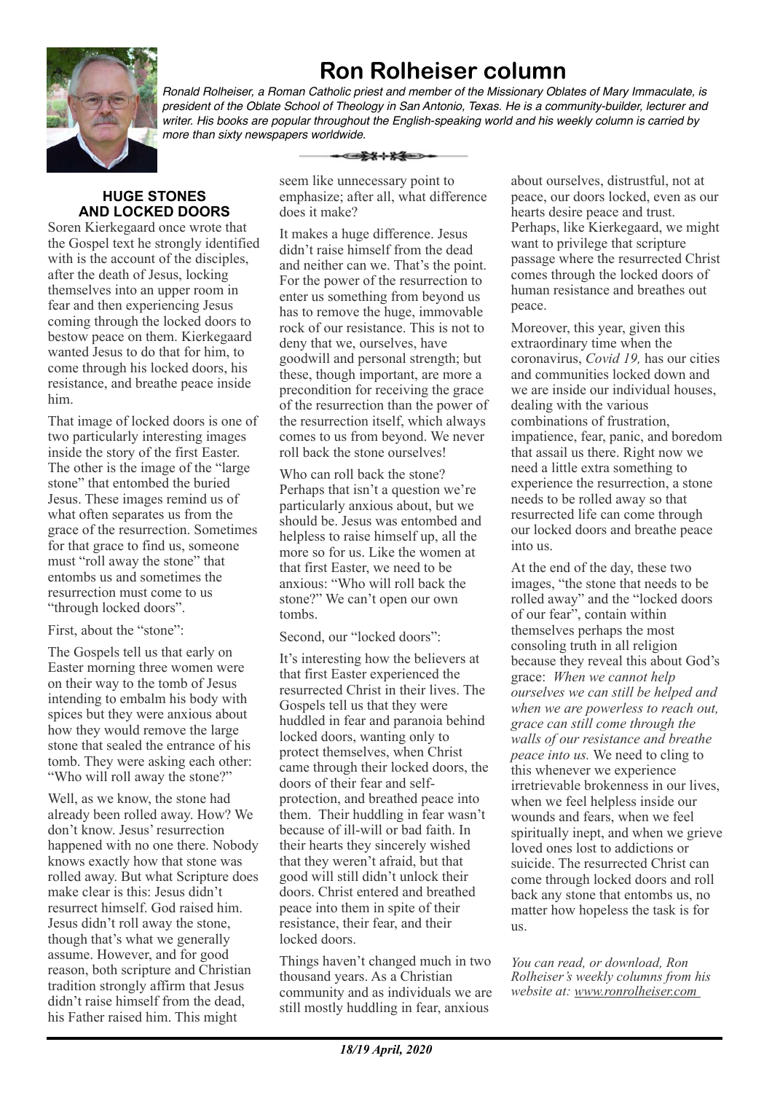# **Ron Rolheiser column**



*Ronald Rolheiser, a Roman Catholic priest and member of the Missionary Oblates of Mary Immaculate, is president of the Oblate School of Theology in San Antonio, Texas. He is a community-builder, lecturer and writer. His books are popular throughout the English-speaking world and his weekly column is carried by more than sixty newspapers worldwide.*

# **HUGE STONES AND LOCKED DOORS**

Soren Kierkegaard once wrote that the Gospel text he strongly identified with is the account of the disciples, after the death of Jesus, locking themselves into an upper room in fear and then experiencing Jesus coming through the locked doors to bestow peace on them. Kierkegaard wanted Jesus to do that for him, to come through his locked doors, his resistance, and breathe peace inside him.

That image of locked doors is one of two particularly interesting images inside the story of the first Easter. The other is the image of the "large stone" that entombed the buried Jesus. These images remind us of what often separates us from the grace of the resurrection. Sometimes for that grace to find us, someone must "roll away the stone" that entombs us and sometimes the resurrection must come to us "through locked doors".

### First, about the "stone":

The Gospels tell us that early on Easter morning three women were on their way to the tomb of Jesus intending to embalm his body with spices but they were anxious about how they would remove the large stone that sealed the entrance of his tomb. They were asking each other: "Who will roll away the stone?"

Well, as we know, the stone had already been rolled away. How? We don't know. Jesus' resurrection happened with no one there. Nobody knows exactly how that stone was rolled away. But what Scripture does make clear is this: Jesus didn't resurrect himself. God raised him. Jesus didn't roll away the stone, though that's what we generally assume. However, and for good reason, both scripture and Christian tradition strongly affirm that Jesus didn't raise himself from the dead, his Father raised him. This might

seem like unnecessary point to emphasize; after all, what difference does it make?

-⊂≵\*⊹\*\*

It makes a huge difference. Jesus didn't raise himself from the dead and neither can we. That's the point. For the power of the resurrection to enter us something from beyond us has to remove the huge, immovable rock of our resistance. This is not to deny that we, ourselves, have goodwill and personal strength; but these, though important, are more a precondition for receiving the grace of the resurrection than the power of the resurrection itself, which always comes to us from beyond. We never roll back the stone ourselves!

Who can roll back the stone? Perhaps that isn't a question we're particularly anxious about, but we should be. Jesus was entombed and helpless to raise himself up, all the more so for us. Like the women at that first Easter, we need to be anxious: "Who will roll back the stone?" We can't open our own tombs.

Second, our "locked doors":

It's interesting how the believers at that first Easter experienced the resurrected Christ in their lives. The Gospels tell us that they were huddled in fear and paranoia behind locked doors, wanting only to protect themselves, when Christ came through their locked doors, the doors of their fear and selfprotection, and breathed peace into them. Their huddling in fear wasn't because of ill-will or bad faith. In their hearts they sincerely wished that they weren't afraid, but that good will still didn't unlock their doors. Christ entered and breathed peace into them in spite of their resistance, their fear, and their locked doors.

Things haven't changed much in two thousand years. As a Christian community and as individuals we are still mostly huddling in fear, anxious

about ourselves, distrustful, not at peace, our doors locked, even as our hearts desire peace and trust. Perhaps, like Kierkegaard, we might want to privilege that scripture passage where the resurrected Christ comes through the locked doors of human resistance and breathes out peace.

Moreover, this year, given this extraordinary time when the coronavirus, *Covid 19,* has our cities and communities locked down and we are inside our individual houses, dealing with the various combinations of frustration, impatience, fear, panic, and boredom that assail us there. Right now we need a little extra something to experience the resurrection, a stone needs to be rolled away so that resurrected life can come through our locked doors and breathe peace into us.

At the end of the day, these two images, "the stone that needs to be rolled away" and the "locked doors of our fear", contain within themselves perhaps the most consoling truth in all religion because they reveal this about God's grace: *When we cannot help ourselves we can still be helped and when we are powerless to reach out, grace can still come through the walls of our resistance and breathe peace into us.* We need to cling to this whenever we experience irretrievable brokenness in our lives, when we feel helpless inside our wounds and fears, when we feel spiritually inept, and when we grieve loved ones lost to addictions or suicide. The resurrected Christ can come through locked doors and roll back any stone that entombs us, no matter how hopeless the task is for us.

*You can read, or download, Ron Rolheiser's weekly columns from his website at: www.ronrolheiser.com*